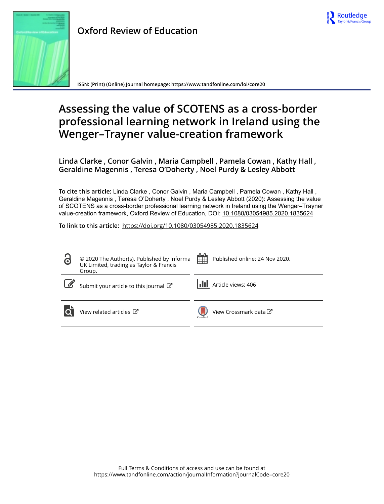



**ISSN: (Print) (Online) Journal homepage:<https://www.tandfonline.com/loi/core20>**

# **Assessing the value of SCOTENS as a cross-border professional learning network in Ireland using the Wenger–Trayner value-creation framework**

**Linda Clarke , Conor Galvin , Maria Campbell , Pamela Cowan , Kathy Hall , Geraldine Magennis , Teresa O'Doherty , Noel Purdy & Lesley Abbott**

**To cite this article:** Linda Clarke , Conor Galvin , Maria Campbell , Pamela Cowan , Kathy Hall , Geraldine Magennis , Teresa O'Doherty , Noel Purdy & Lesley Abbott (2020): Assessing the value of SCOTENS as a cross-border professional learning network in Ireland using the Wenger–Trayner value-creation framework, Oxford Review of Education, DOI: [10.1080/03054985.2020.1835624](https://www.tandfonline.com/action/showCitFormats?doi=10.1080/03054985.2020.1835624)

**To link to this article:** <https://doi.org/10.1080/03054985.2020.1835624>

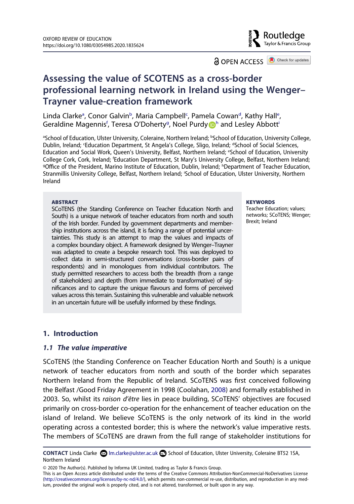

**a** OPEN ACCESS **a** Check for updates

## **Assessing the value of SCOTENS as a cross-border professional learning network in Ireland using the Wenger– Trayner value-creation framework**

Linda Clarke<sup>a</sup>, Conor Galvin<sup>b</sup>, Maria Campbell<sup>[c](#page-1-1)</sup>, Pamela Cowan<sup>[d](#page-1-1)</sup>, Kathy Hall<sup>e</sup>, Geraldine Ma[g](#page-1-4)ennis<sup>f</sup>, Teresa O'Doherty<sup>g</sup>, Noel Purdy **D**<sup>h</sup> and Lesley Abbott<sup>i</sup>

<span id="page-1-4"></span><span id="page-1-3"></span><span id="page-1-2"></span><span id="page-1-1"></span><span id="page-1-0"></span>aSchool of Education, Ulster University, Coleraine, Northern Ireland; <sup>b</sup>School of Education, University College, Dublin, Ireland; 'Education Department, St Angela's College, Sligo, Ireland; <sup>d</sup>School of Social Sciences, Education and Social Work, Queen's University, Belfast, Northern Ireland; <sup>e</sup>School of Education, University College Cork, Cork, Ireland; <sup>f</sup>Education Department, St Mary's University College, Belfast, Northern Ireland;<br><sup>g</sup>Office of the President Marino Institute of Education, Dublin, Ireland: hDepartment of Teacher Education Office of the President, Marino Institute of Education, Dublin, Ireland; <sup>h</sup>Department of Teacher Education, Stranmillis University College, Belfast, Northern Ireland; i School of Education, Ulster University, Northern Ireland

#### <span id="page-1-5"></span>**ABSTRACT**

SCoTENS (the Standing Conference on Teacher Education North and South) is a unique network of teacher educators from north and south of the Irish border. Funded by government departments and membership institutions across the island, it is facing a range of potential uncertainties. This study is an attempt to map the values and impacts of a complex boundary object. A framework designed by Wenger–Trayner was adapted to create a bespoke research tool. This was deployed to collect data in semi-structured conversations (cross-border pairs of respondents) and in monologues from individual contributors. The study permitted researchers to access both the breadth (from a range of stakeholders) and depth (from immediate to transformative) of significances and to capture the unique flavours and forms of perceived values across this terrain. Sustaining this vulnerable and valuable network in an uncertain future will be usefully informed by these findings.

#### **KEYWORDS**

Teacher Education; values; networks; SCoTENS; Wenger; Brexit; Ireland

#### **1. Introduction**

#### *1.1 The value imperative*

<span id="page-1-6"></span>SCoTENS (the Standing Conference on Teacher Education North and South) is a unique network of teacher educators from north and south of the border which separates Northern Ireland from the Republic of Ireland. SCoTENS was first conceived following the Belfast /Good Friday Agreement in 1998 (Coolahan, [2008\)](#page-16-0) and formally established in 2003. So, whilst its *raison d'être* lies in peace building, SCoTENS' objectives are focused primarily on cross-border co-operation for the enhancement of teacher education on the island of Ireland. We believe SCoTENS is the only network of its kind in the world operating across a contested border; this is where the network's value imperative rests. The members of SCoTENS are drawn from the full range of stakeholder institutions for

**CONTACT** Linda Clarke **2** Im.clarke@ulster.ac.uk **Souting** School of Education, Ulster University, Coleraine BT52 1SA, Northern Ireland

© 2020 The Author(s). Published by Informa UK Limited, trading as Taylor & Francis Group.

This is an Open Access article distributed under the terms of the Creative Commons Attribution-NonCommercial-NoDerivatives License (http://creativecommons.org/licenses/by-nc-nd/4.0/), which permits non-commercial re-use, distribution, and reproduction in any medium, provided the original work is properly cited, and is not altered, transformed, or built upon in any way.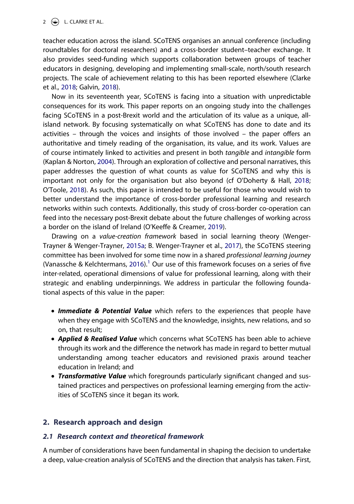2  $\left(\rightarrow\right)$  L. CLARKE ET AL.

teacher education across the island. SCoTENS organises an annual conference (including roundtables for doctoral researchers) and a cross-border student–teacher exchange. It also provides seed-funding which supports collaboration between groups of teacher educators in designing, developing and implementing small-scale, north/south research projects. The scale of achievement relating to this has been reported elsewhere (Clarke et al., [2018;](#page-16-1) Galvin, [2018](#page-16-2)).

<span id="page-2-1"></span><span id="page-2-0"></span>Now in its seventeenth year, SCoTENS is facing into a situation with unpredictable consequences for its work. This paper reports on an ongoing study into the challenges facing SCoTENS in a post-Brexit world and the articulation of its value as a unique, allisland network. By focusing systematically on what SCoTENS has done to date and its activities – through the voices and insights of those involved – the paper offers an authoritative and timely reading of the organisation, its value, and its work. Values are of course intimately linked to activities and present in both *tangible* and *intangible* form (Kaplan & Norton, [2004](#page-16-3)). Through an exploration of collective and personal narratives, this paper addresses the question of what counts as value for SCoTENS and why this is important not only for the organisation but also beyond (cf O'Doherty & Hall, [2018](#page-16-4); O'Toole, [2018\)](#page-17-0). As such, this paper is intended to be useful for those who would wish to better understand the importance of cross-border professional learning and research networks within such contexts. Additionally, this study of cross-border co-operation can feed into the necessary post-Brexit debate about the future challenges of working across a border on the island of Ireland (O'Keeffe & Creamer, [2019](#page-17-1)).

<span id="page-2-6"></span><span id="page-2-5"></span><span id="page-2-4"></span><span id="page-2-3"></span><span id="page-2-2"></span>Drawing on a *value-creation framework* based in social learning theory (Wenger-Trayner & Wenger-Trayner, [2015a;](#page-17-2) B. Wenger-Trayner et al., [2017\)](#page-17-3), the SCoTENS steering committee has been involved for some time now in a shared *professional learning journey*  (Vanassche & Kelchtermans, [2016\)](#page-17-4).<sup>[1](#page-15-0)</sup> Our use of this framework focuses on a series of five inter-related, operational dimensions of value for professional learning, along with their strategic and enabling underpinnings. We address in particular the following foundational aspects of this value in the paper:

- *Immediate & Potential Value* which refers to the experiences that people have when they engage with SCoTENS and the knowledge, insights, new relations, and so on, that result;
- *Applied & Realised Value* which concerns what SCoTENS has been able to achieve through its work and the difference the network has made in regard to better mutual understanding among teacher educators and revisioned praxis around teacher education in Ireland; and
- *Transformative Value* which foregrounds particularly significant changed and sustained practices and perspectives on professional learning emerging from the activities of SCoTENS since it began its work.

## **2. Research approach and design**

## *2.1 Research context and theoretical framework*

A number of considerations have been fundamental in shaping the decision to undertake a deep, value-creation analysis of SCoTENS and the direction that analysis has taken. First,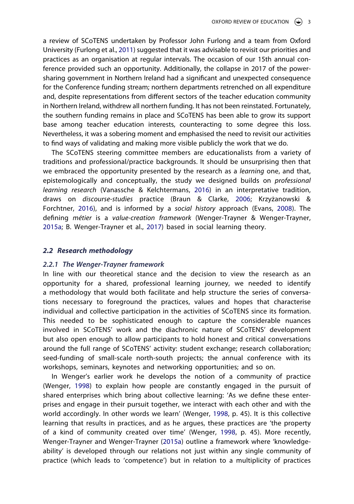<span id="page-3-2"></span>a review of SCoTENS undertaken by Professor John Furlong and a team from Oxford University (Furlong et al., [2011\)](#page-16-5) suggested that it was advisable to revisit our priorities and practices as an organisation at regular intervals. The occasion of our 15th annual conference provided such an opportunity. Additionally, the collapse in 2017 of the powersharing government in Northern Ireland had a significant and unexpected consequence for the Conference funding stream; northern departments retrenched on all expenditure and, despite representations from different sectors of the teacher education community in Northern Ireland, withdrew all northern funding. It has not been reinstated. Fortunately, the southern funding remains in place and SCoTENS has been able to grow its support base among teacher education interests, counteracting to some degree this loss. Nevertheless, it was a sobering moment and emphasised the need to revisit our activities to find ways of validating and making more visible publicly the work that we do.

<span id="page-3-0"></span>The SCoTENS steering committee members are educationalists from a variety of traditions and professional/practice backgrounds. It should be unsurprising then that we embraced the opportunity presented by the research as a *learning* one, and that, epistemologically and conceptually, the study we designed builds on *professional learning research* (Vanassche & Kelchtermans, [2016\)](#page-17-4) in an interpretative tradition, draws on *discourse-studies* practice (Braun & Clarke, [2006](#page-16-6); Krzyżanowski & Forchtner, [2016\)](#page-16-7), and is informed by a *social history* approach (Evans, [2008](#page-16-8)). The defining *métier* is a *value-creation framework* (Wenger-Trayner & Wenger-Trayner, [2015a;](#page-17-2) B. Wenger-Trayner et al., [2017](#page-17-3)) based in social learning theory.

#### <span id="page-3-1"></span>*2.2 Research methodology*

#### *2.2.1 The Wenger-Trayner framework*

In line with our theoretical stance and the decision to view the research as an opportunity for a shared, professional learning journey, we needed to identify a methodology that would both facilitate and help structure the series of conversations necessary to foreground the practices, values and hopes that characterise individual and collective participation in the activities of SCoTENS since its formation. This needed to be sophisticated enough to capture the considerable nuances involved in SCoTENS' work and the diachronic nature of SCoTENS' development but also open enough to allow participants to hold honest and critical conversations around the full range of SCoTENS' activity: student exchange; research collaboration; seed-funding of small-scale north-south projects; the annual conference with its workshops, seminars, keynotes and networking opportunities; and so on.

<span id="page-3-3"></span>In Wenger's earlier work he develops the notion of a community of practice (Wenger, [1998\)](#page-17-5) to explain how people are constantly engaged in the pursuit of shared enterprises which bring about collective learning: 'As we define these enterprises and engage in their pursuit together, we interact with each other and with the world accordingly. In other words we learn' (Wenger, [1998,](#page-17-5) p. 45). It is this collective learning that results in practices, and as he argues, these practices are 'the property of a kind of community created over time' (Wenger, [1998](#page-17-5), p. 45). More recently, Wenger-Trayner and Wenger-Trayner [\(2015a\)](#page-17-2) outline a framework where 'knowledgeability' is developed through our relations not just within any single community of practice (which leads to 'competence') but in relation to a multiplicity of practices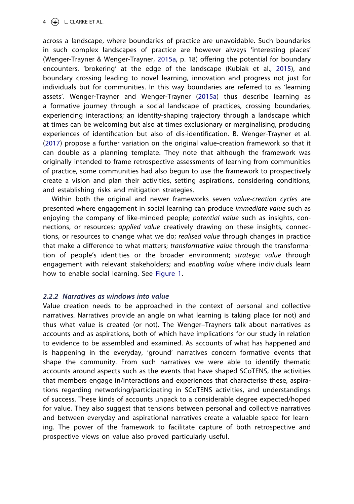$4 \quad \textcircled{\Leftrightarrow}$  L. CLARKE ET AL.

<span id="page-4-0"></span>across a landscape, where boundaries of practice are unavoidable. Such boundaries in such complex landscapes of practice are however always 'interesting places' (Wenger-Trayner & Wenger-Trayner, [2015a](#page-17-2), p. 18) offering the potential for boundary encounters, 'brokering' at the edge of the landscape (Kubiak et al., [2015\)](#page-16-9), and boundary crossing leading to novel learning, innovation and progress not just for individuals but for communities. In this way boundaries are referred to as 'learning assets'. Wenger-Trayner and Wenger-Trayner [\(2015a](#page-17-2)) thus describe learning as a formative journey through a social landscape of practices, crossing boundaries, experiencing interactions; an identity-shaping trajectory through a landscape which at times can be welcoming but also at times exclusionary or marginalising, producing experiences of identification but also of dis-identification. B. Wenger-Trayner et al. ([2017\)](#page-17-3) propose a further variation on the original value-creation framework so that it can double as a planning template. They note that although the framework was originally intended to frame retrospective assessments of learning from communities of practice, some communities had also begun to use the framework to prospectively create a vision and plan their activities, setting aspirations, considering conditions, and establishing risks and mitigation strategies.

Within both the original and newer frameworks seven *value-creation cycles* are presented where engagement in social learning can produce *immediate value* such as enjoying the company of like-minded people; *potential value* such as insights, connections, or resources; *applied value* creatively drawing on these insights, connections, or resources to change what we do; *realised value* through changes in practice that make a difference to what matters; *transformative value* through the transformation of people's identities or the broader environment; *strategic value* through engagement with relevant stakeholders; and *enabling value* where individuals learn how to enable social learning. See [Figure 1](#page-5-0).

## *2.2.2 Narratives as windows into value*

Value creation needs to be approached in the context of personal and collective narratives. Narratives provide an angle on what learning is taking place (or not) and thus what value is created (or not). The Wenger–Trayners talk about narratives as accounts and as aspirations, both of which have implications for our study in relation to evidence to be assembled and examined. As accounts of what has happened and is happening in the everyday, 'ground' narratives concern formative events that shape the community. From such narratives we were able to identify thematic accounts around aspects such as the events that have shaped SCoTENS, the activities that members engage in/interactions and experiences that characterise these, aspirations regarding networking/participating in SCoTENS activities, and understandings of success. These kinds of accounts unpack to a considerable degree expected/hoped for value. They also suggest that tensions between personal and collective narratives and between everyday and aspirational narratives create a valuable space for learning. The power of the framework to facilitate capture of both retrospective and prospective views on value also proved particularly useful.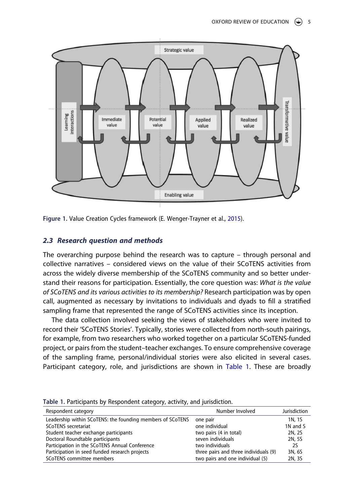<span id="page-5-0"></span>

<span id="page-5-2"></span>**Figure 1.** Value Creation Cycles framework (E. Wenger-Trayner et al., [2015\)](#page-17-6).

## *2.3 Research question and methods*

The overarching purpose behind the research was to capture – through personal and collective narratives – considered views on the value of their SCoTENS activities from across the widely diverse membership of the SCoTENS community and so better understand their reasons for participation. Essentially, the core question was: *What is the value of SCoTENS and its various activities to its membership?* Research participation was by open call, augmented as necessary by invitations to individuals and dyads to fill a stratified sampling frame that represented the range of SCoTENS activities since its inception.

The data collection involved seeking the views of stakeholders who were invited to record their 'SCoTENS Stories'. Typically, stories were collected from north-south pairings, for example, from two researchers who worked together on a particular SCoTENS-funded project, or pairs from the student–teacher exchanges. To ensure comprehensive coverage of the sampling frame, personal/individual stories were also elicited in several cases. Participant category, role, and jurisdictions are shown in [Table 1.](#page-5-1) These are broadly

| Table 1. Participants by Respondent category, activity, and jurisdiction. |                                       |              |
|---------------------------------------------------------------------------|---------------------------------------|--------------|
| Respondent category                                                       | Number Involved                       | Jurisdiction |
| Leadership within SCoTENS: the founding members of SCoTENS                | one pair                              | 1N, 1S       |
| <b>SCoTENS</b> secretariat                                                | one individual                        | 1N and S     |
| Student teacher exchange participants                                     | two pairs (4 in total)                | 2N, 2S       |
| Doctoral Roundtable participants                                          | seven individuals                     | 2N, 5S       |
| Participation in the SCoTENS Annual Conference                            | two individuals                       | <b>2S</b>    |
| Participation in seed funded research projects                            | three pairs and three individuals (9) | 3N, 6S       |
| <b>SCoTENS</b> committee members                                          | two pairs and one individual (5)      | 2N, 3S       |

<span id="page-5-1"></span>**Table 1.** Participants by Respondent category, activity, and jurisdiction.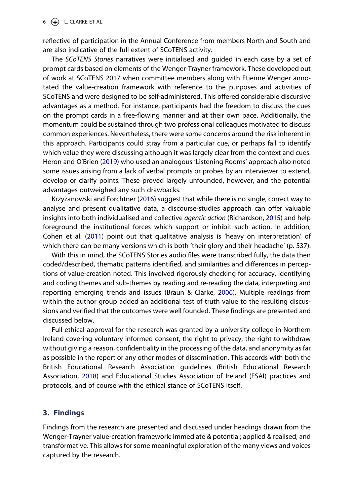reflective of participation in the Annual Conference from members North and South and are also indicative of the full extent of SCoTENS activity.

The *SCoTENS Stories* narratives were initialised and guided in each case by a set of prompt cards based on elements of the Wenger-Trayner framework. These developed out of work at SCoTENS 2017 when committee members along with Etienne Wenger annotated the value-creation framework with reference to the purposes and activities of SCoTENS and were designed to be self-administered. This offered considerable discursive advantages as a method. For instance, participants had the freedom to discuss the cues on the prompt cards in a free-flowing manner and at their own pace. Additionally, the momentum could be sustained through two professional colleagues motivated to discuss common experiences. Nevertheless, there were some concerns around the risk inherent in this approach. Participants could stray from a particular cue, or perhaps fail to identify which value they were discussing although it was largely clear from the context and cues. Heron and O'Brien ([2019](#page-16-10)) who used an analogous 'Listening Rooms' approach also noted some issues arising from a lack of verbal prompts or probes by an interviewer to extend, develop or clarify points. These proved largely unfounded, however, and the potential advantages outweighed any such drawbacks.

<span id="page-6-3"></span><span id="page-6-2"></span>Krzyżanowski and Forchtner [\(2016\)](#page-16-7) suggest that while there is no single, correct way to analyse and present qualitative data, a discourse-studies approach can offer valuable insights into both individualised and collective *agentic action* (Richardson, [2015](#page-17-7)) and help foreground the institutional forces which support or inhibit such action. In addition, Cohen et al. [\(2011\)](#page-16-11) point out that qualitative analysis is 'heavy on interpretation' of which there can be many versions which is both 'their glory and their headache' (p. 537).

<span id="page-6-1"></span>With this in mind, the SCoTENS Stories audio files were transcribed fully, the data then coded/described, thematic patterns identified, and similarities and differences in perceptions of value-creation noted. This involved rigorously checking for accuracy, identifying and coding themes and sub-themes by reading and re-reading the data, interpreting and reporting emerging trends and issues (Braun & Clarke, [2006](#page-16-6)). Multiple readings from within the author group added an additional test of truth value to the resulting discussions and verified that the outcomes were well founded. These findings are presented and discussed below.

Full ethical approval for the research was granted by a university college in Northern Ireland covering voluntary informed consent, the right to privacy, the right to withdraw without giving a reason, confidentiality in the processing of the data, and anonymity as far as possible in the report or any other modes of dissemination. This accords with both the British Educational Research Association guidelines (British Educational Research Association, [2018\)](#page-16-12) and Educational Studies Association of Ireland (ESAI) practices and protocols, and of course with the ethical stance of SCoTENS itself.

## <span id="page-6-0"></span>**3. Findings**

Findings from the research are presented and discussed under headings drawn from the Wenger-Trayner value-creation framework: immediate & potential; applied & realised; and transformative. This allows for some meaningful exploration of the many views and voices captured by the research.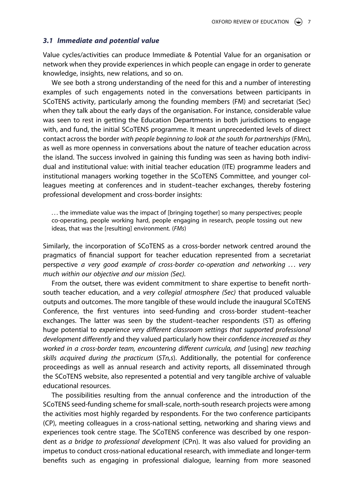#### *3.1 Immediate and potential value*

Value cycles/activities can produce Immediate & Potential Value for an organisation or network when they provide experiences in which people can engage in order to generate knowledge, insights, new relations, and so on.

We see both a strong understanding of the need for this and a number of interesting examples of such engagements noted in the conversations between participants in SCoTENS activity, particularly among the founding members (FM) and secretariat (Sec) when they talk about the early days of the organisation. For instance, considerable value was seen to rest in getting the Education Departments in both jurisdictions to engage with, and fund, the initial SCoTENS programme. It meant unprecedented levels of direct contact across the border *with people beginning to look at the south for partnerships* (FMn), as well as more openness in conversations about the nature of teacher education across the island. The success involved in gaining this funding was seen as having both individual and institutional value: with initial teacher education (ITE) programme leaders and institutional managers working together in the SCoTENS Committee, and younger colleagues meeting at conferences and in student–teacher exchanges, thereby fostering professional development and cross-border insights:

. . . the immediate value was the impact of [bringing together] so many perspectives; people co-operating, people working hard, people engaging in research, people tossing out new ideas, that was the [resulting] environment. (*FMs*)

Similarly, the incorporation of SCoTENS as a cross-border network centred around the pragmatics of financial support for teacher education represented from a secretariat perspective *a very good example of cross-border co-operation and networking . . . very much within our objective and our mission (Sec).*

From the outset, there was evident commitment to share expertise to benefit northsouth teacher education, and a *very collegial atmosphere (Sec)* that produced valuable outputs and outcomes. The more tangible of these would include the inaugural SCoTENS Conference, the first ventures into seed-funding and cross-border student–teacher exchanges. The latter was seen by the student–teacher respondents (ST) as offering huge potential to *experience very different classroom settings that supported professional development differently* and they valued particularly how their *confidence increased as they worked in a cross-border team, encountering different curricula, and [using] new teaching skills acquired during the practicum* (*STn,s*). Additionally, the potential for conference proceedings as well as annual research and activity reports, all disseminated through the SCoTENS website, also represented a potential and very tangible archive of valuable educational resources.

The possibilities resulting from the annual conference and the introduction of the SCoTENS seed-funding scheme for small-scale, north-south research projects were among the activities most highly regarded by respondents. For the two conference participants (CP), meeting colleagues in a cross-national setting, networking and sharing views and experiences took centre stage. The SCoTENS conference was described by one respondent as *a bridge to professional development* (CPn). It was also valued for providing an impetus to conduct cross-national educational research, with immediate and longer-term benefits such as engaging in professional dialogue, learning from more seasoned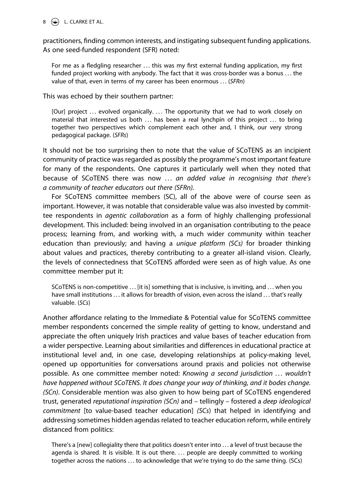$8 \quad \Leftrightarrow$  L. CLARKE ET AL.

practitioners, finding common interests, and instigating subsequent funding applications. As one seed-funded respondent (SFR) noted:

For me as a fledgling researcher ... this was my first external funding application, my first funded project working with anybody. The fact that it was cross-border was a bonus . . . the value of that, even in terms of my career has been enormous . . . (*SFRn*)

This was echoed by their southern partner:

[Our] project ... evolved organically. ... The opportunity that we had to work closely on material that interested us both  $\ldots$  has been a real lynchpin of this project  $\ldots$  to bring together two perspectives which complement each other and, I think, our very strong pedagogical package. (*SFRs*)

It should not be too surprising then to note that the value of SCoTENS as an incipient community of practice was regarded as possibly the programme's most important feature for many of the respondents. One captures it particularly well when they noted that because of SCoTENS there was now . . . *an added value in recognising that there's a community of teacher educators out there (SFRn).*

For SCoTENS committee members (SC), all of the above were of course seen as important. However, it was notable that considerable value was also invested by committee respondents in *agentic collaboration* as a form of highly challenging professional development. This included: being involved in an organisation contributing to the peace process; learning from, and working with, a much wider community within teacher education than previously; and having a *unique platform (SCs)* for broader thinking about values and practices, thereby contributing to a greater all-island vision. Clearly, the levels of connectedness that SCoTENS afforded were seen as of high value. As one committee member put it:

SCoTENS is non-competitive ... [it is] something that is inclusive, is inviting, and ... when you have small institutions ... it allows for breadth of vision, even across the island ... that's really valuable. (*SCs*)

Another affordance relating to the Immediate & Potential value for SCoTENS committee member respondents concerned the simple reality of getting to know, understand and appreciate the often uniquely Irish practices and value bases of teacher education from a wider perspective. Learning about similarities and differences in educational practice at institutional level and, in one case, developing relationships at policy-making level, opened up opportunities for conversations around praxis and policies not otherwise possible. As one committee member noted: *Knowing a second jurisdiction . . . wouldn't have happened without SCoTENS. It does change your way of thinking, and it bodes change. (SCn)*. Considerable mention was also given to how being part of SCoTENS engendered trust, generated *reputational inspiration (SCn)* and – tellingly – fostered a *deep ideological commitment* [to value-based teacher education] *(SCs*) that helped in identifying and addressing sometimes hidden agendas related to teacher education reform, while entirely distanced from politics:

There's a [new] collegiality there that politics doesn't enter into . . . a level of trust because the agenda is shared. It is visible. It is out there. ... people are deeply committed to working together across the nations ... to acknowledge that we're trying to do the same thing. (SCs)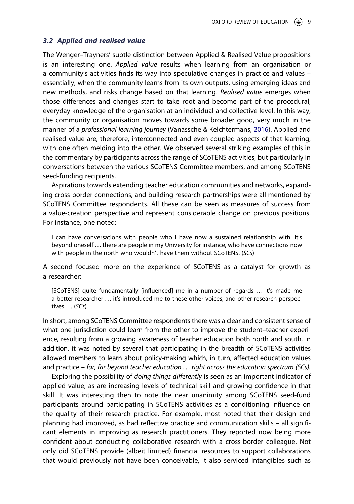#### *3.2 Applied and realised value*

The Wenger–Trayners' subtle distinction between Applied & Realised Value propositions is an interesting one. *Applied value* results when learning from an organisation or a community's activities finds its way into speculative changes in practice and values – essentially, when the community learns from its own outputs, using emerging ideas and new methods, and risks change based on that learning. *Realised value* emerges when those differences and changes start to take root and become part of the procedural, everyday knowledge of the organisation at an individual and collective level. In this way, the community or organisation moves towards some broader good, very much in the manner of a *professional learning journey* (Vanassche & Kelchtermans, [2016](#page-17-4)). Applied and realised value are, therefore, interconnected and even coupled aspects of that learning, with one often melding into the other. We observed several striking examples of this in the commentary by participants across the range of SCoTENS activities, but particularly in conversations between the various SCoTENS Committee members, and among SCoTENS seed-funding recipients.

Aspirations towards extending teacher education communities and networks, expanding cross-border connections, and building research partnerships were all mentioned by SCoTENS Committee respondents. All these can be seen as measures of success from a value-creation perspective and represent considerable change on previous positions. For instance, one noted:

I can have conversations with people who I have now a sustained relationship with. It's beyond oneself . . . there are people in my University for instance, who have connections now with people in the north who wouldn't have them without SCoTENS. (*SCs*)

A second focused more on the experience of SCoTENS as a catalyst for growth as a researcher:

[SCoTENS] quite fundamentally [influenced] me in a number of regards . . . it's made me a better researcher . . . it's introduced me to these other voices, and other research perspectives . . . (*SCs*).

In short, among SCoTENS Committee respondents there was a clear and consistent sense of what one jurisdiction could learn from the other to improve the student–teacher experience, resulting from a growing awareness of teacher education both north and south. In addition, it was noted by several that participating in the breadth of SCoTENS activities allowed members to learn about policy-making which, in turn, affected education values and practice – *far, far beyond teacher education . . . right across the education spectrum (SCs).*

Exploring the possibility of *doing things differently* is seen as an important indicator of applied value, as are increasing levels of technical skill and growing confidence in that skill. It was interesting then to note the near unanimity among SCoTENS seed-fund participants around participating in SCoTENS activities as a conditioning influence on the quality of their research practice. For example, most noted that their design and planning had improved, as had reflective practice and communication skills – all significant elements in improving as research practitioners. They reported now being more confident about conducting collaborative research with a cross-border colleague. Not only did SCoTENS provide (albeit limited) financial resources to support collaborations that would previously not have been conceivable, it also serviced intangibles such as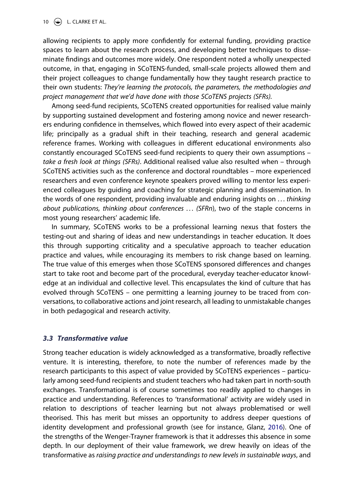10  $\bigodot$  L. CLARKE ET AL.

allowing recipients to apply more confidently for external funding, providing practice spaces to learn about the research process, and developing better techniques to disseminate findings and outcomes more widely. One respondent noted a wholly unexpected outcome, in that, engaging in SCoTENS-funded, small-scale projects allowed them and their project colleagues to change fundamentally how they taught research practice to their own students: *They're learning the protocols, the parameters, the methodologies and project management that we'd have done with those SCoTENS projects (SFRs).*

Among seed-fund recipients, SCoTENS created opportunities for realised value mainly by supporting sustained development and fostering among novice and newer researchers enduring confidence in themselves, which flowed into every aspect of their academic life; principally as a gradual shift in their teaching, research and general academic reference frames. Working with colleagues in different educational environments also constantly encouraged SCoTENS seed-fund recipients to query their own assumptions – *take a fresh look at things (SFRs)*. Additional realised value also resulted when – through SCoTENS activities such as the conference and doctoral roundtables – more experienced researchers and even conference keynote speakers proved willing to mentor less experienced colleagues by guiding and coaching for strategic planning and dissemination. In the words of one respondent, providing invaluable and enduring insights on . . . *thinking about publications, thinking about conferences . . . (SFRn*), two of the staple concerns in most young researchers' academic life.

In summary, SCoTENS works to be a professional learning nexus that fosters the testing-out and sharing of ideas and new understandings in teacher education. It does this through supporting criticality and a speculative approach to teacher education practice and values, while encouraging its members to risk change based on learning. The true value of this emerges when those SCoTENS sponsored differences and changes start to take root and become part of the procedural, everyday teacher-educator knowledge at an individual and collective level. This encapsulates the kind of culture that has evolved through SCoTENS – one permitting a learning journey to be traced from conversations, to collaborative actions and joint research, all leading to unmistakable changes in both pedagogical and research activity.

## *3.3 Transformative value*

<span id="page-10-0"></span>Strong teacher education is widely acknowledged as a transformative, broadly reflective venture. It is interesting, therefore, to note the number of references made by the research participants to this aspect of value provided by SCoTENS experiences – particularly among seed-fund recipients and student teachers who had taken part in north-south exchanges. Transformational is of course sometimes too readily applied to changes in practice and understanding. References to 'transformational' activity are widely used in relation to descriptions of teacher learning but not always problematised or well theorised. This has merit but misses an opportunity to address deeper questions of identity development and professional growth (see for instance, Glanz, [2016](#page-16-13)). One of the strengths of the Wenger-Trayner framework is that it addresses this absence in some depth. In our deployment of their value framework, we drew heavily on ideas of the transformative as *raising practice and understandings to new levels in sustainable ways*, and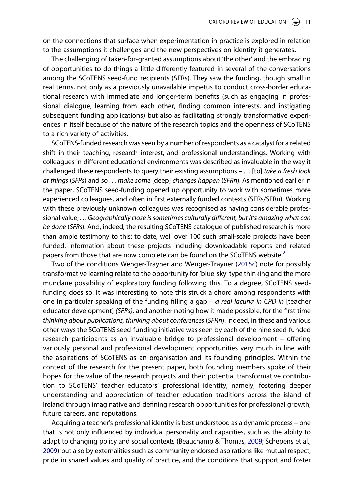on the connections that surface when experimentation in practice is explored in relation to the assumptions it challenges and the new perspectives on identity it generates.

The challenging of taken-for-granted assumptions about 'the other' and the embracing of opportunities to do things a little differently featured in several of the conversations among the SCoTENS seed-fund recipients (SFRs). They saw the funding, though small in real terms, not only as a previously unavailable impetus to conduct cross-border educational research with immediate and longer-term benefits (such as engaging in professional dialogue, learning from each other, finding common interests, and instigating subsequent funding applications) but also as facilitating strongly transformative experiences in itself because of the nature of the research topics and the openness of SCoTENS to a rich variety of activities.

SCoTENS-funded research was seen by a number of respondents as a catalyst for a related shift in their teaching, research interest, and professional understandings. Working with colleagues in different educational environments was described as invaluable in the way it challenged these respondents to query their existing assumptions – . . . [to] *take a fresh look at things* (*SFRs*) and so *. . . make some* [deep] *changes happen* (*SFRn*). As mentioned earlier in the paper, SCoTENS seed-funding opened up opportunity to work with sometimes more experienced colleagues, and often in first externally funded contexts (SFRs/SFRn). Working with these previously unknown colleagues was recognised as having considerable professional value; . . . *Geographically close is sometimes culturally different, but it's amazing what can be done* (*SFRs*). And, indeed, the resulting SCoTENS catalogue of published research is more than ample testimony to this: to date, well over 100 such small-scale projects have been funded. Information about these projects including downloadable reports and related papers from those that are now complete can be found on the SCoTENS website. $2$ 

<span id="page-11-1"></span>Two of the conditions Wenger-Trayner and Wenger-Trayner [\(2015c](#page-17-8)) note for possibly transformative learning relate to the opportunity for 'blue-sky' type thinking and the more mundane possibility of exploratory funding following this. To a degree, SCoTENS seedfunding does so. It was interesting to note this struck a chord among respondents with one in particular speaking of the funding filling a gap – *a real lacuna in CPD in* [teacher educator development] *(SFRs)*, and another noting how it made possible, for the first time *thinking about publications, thinking about conferences* (*SFRn*). Indeed, in these and various other ways the SCoTENS seed-funding initiative was seen by each of the nine seed-funded research participants as an invaluable bridge to professional development – offering variously personal and professional development opportunities very much in line with the aspirations of SCoTENS as an organisation and its founding principles. Within the context of the research for the present paper, both founding members spoke of their hopes for the value of the research projects and their potential transformative contribution to SCoTENS' teacher educators' professional identity; namely, fostering deeper understanding and appreciation of teacher education traditions across the island of Ireland through imaginative and defining research opportunities for professional growth, future careers, and reputations.

<span id="page-11-0"></span>Acquiring a teacher's professional identity is best understood as a dynamic process – one that is not only influenced by individual personality and capacities, such as the ability to adapt to changing policy and social contexts (Beauchamp & Thomas, [2009](#page-16-14); Schepens et al., [2009](#page-17-9)) but also by externalities such as community endorsed aspirations like mutual respect, pride in shared values and quality of practice, and the conditions that support and foster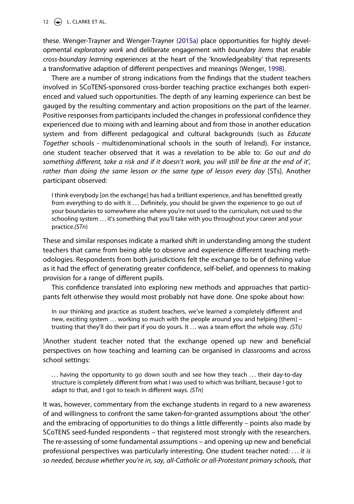12  $\left(\rightarrow\right)$  L. CLARKE ET AL.

these. Wenger-Trayner and Wenger-Trayner ([2015a\)](#page-17-2) place opportunities for highly developmental *exploratory work* and deliberate engagement with *boundary items* that enable *cross-boundary learning experiences* at the heart of the 'knowledgeability' that represents a transformative adaption of different perspectives and meanings (Wenger, [1998\)](#page-17-5).

There are a number of strong indications from the findings that the student teachers involved in SCoTENS-sponsored cross-border teaching practice exchanges both experienced and valued such opportunities. The depth of any learning experience can best be gauged by the resulting commentary and action propositions on the part of the learner. Positive responses from participants included the changes in professional confidence they experienced due to mixing with and learning about and from those in another education system and from different pedagogical and cultural backgrounds (such as *Educate Together* schools - multidenominational schools in the south of Ireland). For instance, one student teacher observed that it was a revelation to be able to: *Go out and do something different, take a risk and if it doesn't work, you will still be fine at the end of it',*  rather than doing the same lesson or the same type of lesson every day [STs]. Another participant observed:

I think everybody [on the exchange] has had a brilliant experience, and has benefitted greatly from everything to do with it ... Definitely, you should be given the experience to go out of your boundaries to somewhere else where you're not used to the curriculum, not used to the schooling system . . . it's something that you'll take with you throughout your career and your practice.*(STn*)

These and similar responses indicate a marked shift in understanding among the student teachers that came from being able to observe and experience different teaching methodologies. Respondents from both jurisdictions felt the exchange to be of defining value as it had the effect of generating greater confidence, self-belief, and openness to making provision for a range of different pupils.

This confidence translated into exploring new methods and approaches that participants felt otherwise they would most probably not have done. One spoke about how:

In our thinking and practice as student teachers, we've learned a completely different and new, exciting system ... working so much with the people around you and helping [them] trusting that they'll do their part if you do yours. It . . . was a team effort the whole way. *(STs)*

)Another student teacher noted that the exchange opened up new and beneficial perspectives on how teaching and learning can be organised in classrooms and across school settings:

... having the opportunity to go down south and see how they teach ... their day-to-day structure is completely different from what I was used to which was brilliant, because I got to adapt to that, and I got to teach in different ways. *(STn*)

It was, however, commentary from the exchange students in regard to a new awareness of and willingness to confront the same taken-for-granted assumptions about 'the other' and the embracing of opportunities to do things a little differently – points also made by SCoTENS seed-funded respondents – that registered most strongly with the researchers. The re-assessing of some fundamental assumptions – and opening up new and beneficial professional perspectives was particularly interesting. One student teacher noted: . . . *it is so needed, because whether you're in, say, all-Catholic or all-Protestant primary schools, that*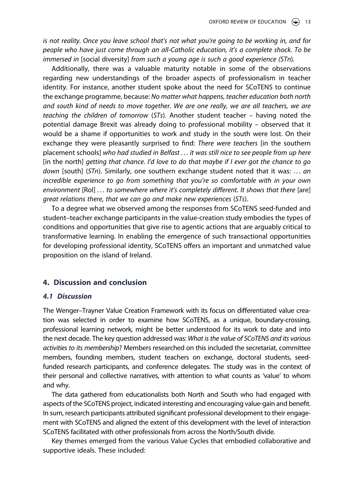*is not reality. Once you leave school that's not what you're going to be working in, and for people who have just come through an all-Catholic education, it's a complete shock. To be immersed in* [social diversity] *from such a young age is such a good experience (STn*).

Additionally, there was a valuable maturity notable in some of the observations regarding new understandings of the broader aspects of professionalism in teacher identity. For instance, another student spoke about the need for SCoTENS to continue the exchange programme, because: *No matter what happens, teacher education both north and south kind of needs to move together. We are one really, we are all teachers, we are teaching the children of tomorrow* (*STs*). Another student teacher – having noted the potential damage Brexit was already doing to professional mobility – observed that it would be a shame if opportunities to work and study in the south were lost. On their exchange they were pleasantly surprised to find: *There were teachers* [in the southern placement schools] *who had studied in Belfast . . . it was still nice to see people from up here*  [in the north] *getting that chance. I'd love to do that maybe if I ever got the chance to go down* [south] (*STn*). Similarly, one southern exchange student noted that it was: . . . *an incredible experience to go from something that you're so comfortable with in your own environment* [RoI] *. . . to somewhere where it's completely different. It shows that there* [are] *great relations there, that we can go and make new experiences* (*STs*).

To a degree what we observed among the responses from SCoTENS seed-funded and student–teacher exchange participants in the value-creation study embodies the types of conditions and opportunities that give rise to agentic actions that are arguably critical to transformative learning. In enabling the emergence of such transactional opportunities for developing professional identity, SCoTENS offers an important and unmatched value proposition on the island of Ireland.

## **4. Discussion and conclusion**

#### *4.1 Discussion*

The Wenger–Trayner Value Creation Framework with its focus on differentiated value creation was selected in order to examine how SCoTENS, as a unique, boundary-crossing, professional learning network, might be better understood for its work to date and into the next decade. The key question addressed was: *What is the value of SCoTENS and its various activities to its membership*? Members researched on this included the secretariat, committee members, founding members, student teachers on exchange, doctoral students, seedfunded research participants, and conference delegates. The study was in the context of their personal and collective narratives, with attention to what counts as 'value' to whom and why.

The data gathered from educationalists both North and South who had engaged with aspects of the SCoTENS project, indicated interesting and encouraging value-gain and benefit. In sum, research participants attributed significant professional development to their engagement with SCoTENS and aligned the extent of this development with the level of interaction SCoTENS facilitated with other professionals from across the North/South divide.

Key themes emerged from the various Value Cycles that embodied collaborative and supportive ideals. These included: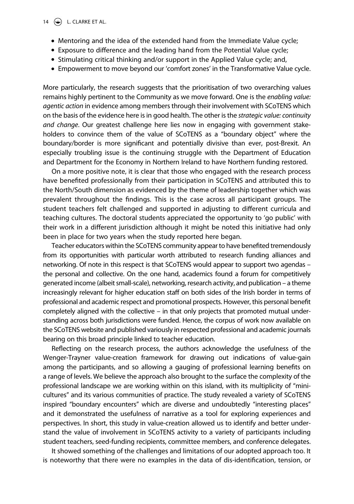- Mentoring and the idea of the extended hand from the Immediate Value cycle;
- Exposure to difference and the leading hand from the Potential Value cycle;
- Stimulating critical thinking and/or support in the Applied Value cycle; and,
- Empowerment to move beyond our 'comfort zones' in the Transformative Value cycle.

More particularly, the research suggests that the prioritisation of two overarching values remains highly pertinent to the Community as we move forward. One is the *enabling value: agentic action* in evidence among members through their involvement with SCoTENS which on the basis of the evidence here is in good health. The other is the *strategic value: continuity and change*. Our greatest challenge here lies now in engaging with government stakeholders to convince them of the value of SCoTENS as a "boundary object" where the boundary/border is more significant and potentially divisive than ever, post-Brexit. An especially troubling issue is the continuing struggle with the Department of Education and Department for the Economy in Northern Ireland to have Northern funding restored.

On a more positive note, it is clear that those who engaged with the research process have benefited professionally from their participation in SCoTENS and attributed this to the North/South dimension as evidenced by the theme of leadership together which was prevalent throughout the findings. This is the case across all participant groups. The student teachers felt challenged and supported in adjusting to different curricula and teaching cultures. The doctoral students appreciated the opportunity to 'go public' with their work in a different jurisdiction although it might be noted this initiative had only been in place for two years when the study reported here began.

Teacher educators within the SCoTENS community appear to have benefited tremendously from its opportunities with particular worth attributed to research funding alliances and networking. Of note in this respect is that SCoTENS would appear to support two agendas – the personal and collective. On the one hand, academics found a forum for competitively generated income (albeit small-scale), networking, research activity, and publication – a theme increasingly relevant for higher education staff on both sides of the Irish border in terms of professional and academic respect and promotional prospects. However, this personal benefit completely aligned with the collective – in that only projects that promoted mutual understanding across both jurisdictions were funded. Hence, the corpus of work now available on the SCoTENS website and published variously in respected professional and academic journals bearing on this broad principle linked to teacher education.

Reflecting on the research process, the authors acknowledge the usefulness of the Wenger-Trayner value-creation framework for drawing out indications of value-gain among the participants, and so allowing a gauging of professional learning benefits on a range of levels. We believe the approach also brought to the surface the complexity of the professional landscape we are working within on this island, with its multiplicity of "minicultures" and its various communities of practice. The study revealed a variety of SCoTENS inspired "boundary encounters" which are diverse and undoubtedly "interesting places" and it demonstrated the usefulness of narrative as a tool for exploring experiences and perspectives. In short, this study in value-creation allowed us to identify and better understand the value of involvement in SCoTENS activity to a variety of participants including student teachers, seed-funding recipients, committee members, and conference delegates.

It showed something of the challenges and limitations of our adopted approach too. It is noteworthy that there were no examples in the data of dis-identification, tension, or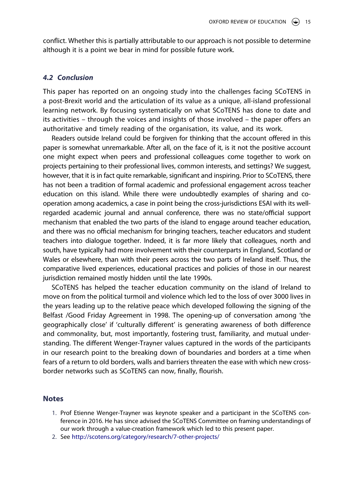conflict. Whether this is partially attributable to our approach is not possible to determine although it is a point we bear in mind for possible future work.

#### *4.2 Conclusion*

This paper has reported on an ongoing study into the challenges facing SCoTENS in a post-Brexit world and the articulation of its value as a unique, all-island professional learning network. By focusing systematically on what SCoTENS has done to date and its activities – through the voices and insights of those involved – the paper offers an authoritative and timely reading of the organisation, its value, and its work.

Readers outside Ireland could be forgiven for thinking that the account offered in this paper is somewhat unremarkable. After all, on the face of it, is it not the positive account one might expect when peers and professional colleagues come together to work on projects pertaining to their professional lives, common interests, and settings? We suggest, however, that it is in fact quite remarkable, significant and inspiring. Prior to SCoTENS, there has not been a tradition of formal academic and professional engagement across teacher education on this island. While there were undoubtedly examples of sharing and cooperation among academics, a case in point being the cross-jurisdictions ESAI with its wellregarded academic journal and annual conference, there was no state/official support mechanism that enabled the two parts of the island to engage around teacher education, and there was no official mechanism for bringing teachers, teacher educators and student teachers into dialogue together. Indeed, it is far more likely that colleagues, north and south, have typically had more involvement with their counterparts in England, Scotland or Wales or elsewhere, than with their peers across the two parts of Ireland itself. Thus, the comparative lived experiences, educational practices and policies of those in our nearest jurisdiction remained mostly hidden until the late 1990s.

SCoTENS has helped the teacher education community on the island of Ireland to move on from the political turmoil and violence which led to the loss of over 3000 lives in the years leading up to the relative peace which developed following the signing of the Belfast /Good Friday Agreement in 1998. The opening-up of conversation among 'the geographically close' if 'culturally different' is generating awareness of both difference and commonality, but, most importantly, fostering trust, familiarity, and mutual understanding. The different Wenger-Trayner values captured in the words of the participants in our research point to the breaking down of boundaries and borders at a time when fears of a return to old borders, walls and barriers threaten the ease with which new crossborder networks such as SCoTENS can now, finally, flourish.

#### **Notes**

- <span id="page-15-0"></span>1. Prof Etienne Wenger-Trayner was keynote speaker and a participant in the SCoTENS conference in 2016. He has since advised the SCoTENS Committee on framing understandings of our work through a value-creation framework which led to this present paper.
- <span id="page-15-1"></span>2. See <http://scotens.org/category/research/7-other-projects/>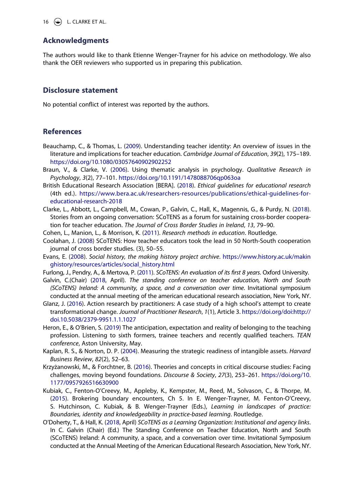16  $\bigodot$  L. CLARKE ET AL.

## **Acknowledgments**

The authors would like to thank Etienne Wenger-Trayner for his advice on methodology. We also thank the OER reviewers who supported us in preparing this publication.

#### **Disclosure statement**

No potential conflict of interest was reported by the authors.

## **References**

- <span id="page-16-14"></span>Beauchamp, C., & Thomas, L. [\(2009\)](#page-11-0). Understanding teacher identity: An overview of issues in the literature and implications for teacher education. *Cambridge Journal of Education*, *39*(2), 175–189. <https://doi.org/10.1080/03057640902902252>
- <span id="page-16-6"></span>Braun, V., & Clarke, V. ([2006](#page-3-0)). Using thematic analysis in psychology. *Qualitative Research in Psychology*, *3*(2), 77–101. <https://doi.org/10.1191/1478088706qp063oa>
- <span id="page-16-12"></span>British Educational Research Association [BERA]. ([2018](#page-6-0)). *Ethical guidelines for educational research*  (4th ed.). [https://www.bera.ac.uk/researchers-resources/publications/ethical-guidelines-for](https://www.bera.ac.uk/researchers-resources/publications/ethical-guidelines-for-educational-research-2018)[educational-research-2018](https://www.bera.ac.uk/researchers-resources/publications/ethical-guidelines-for-educational-research-2018)
- <span id="page-16-1"></span>Clarke, L., Abbott, L., Campbell, M., Cowan, P., Galvin, C., Hall, K., Magennis, G., & Purdy, N. [\(2018\)](#page-2-0). Stories from an ongoing conversation: SCoTENS as a forum for sustaining cross-border cooperation for teacher education. *The Journal of Cross Border Studies in Ireland*, *13*, 79–90.
- <span id="page-16-11"></span>Cohen, L., Manion, L., & Morrison, K. ([2011](#page-6-1)). *Research methods in education*. Routledge.
- <span id="page-16-0"></span>Coolahan, J. ([2008](#page-1-6)) SCoTENS: How teacher educators took the lead in 50 North-South cooperation journal of cross border studies. (3), 50–55.
- <span id="page-16-8"></span>Evans, E. [\(2008\)](#page-3-1). *Social history, the making history project archive*. [https://www.history.ac.uk/makin](https://www.history.ac.uk/makinghistory/resources/articles/social_history.html) [ghistory/resources/articles/social\\_history.html](https://www.history.ac.uk/makinghistory/resources/articles/social_history.html)
- <span id="page-16-5"></span>Furlong, J., Pendry, A., & Mertova, P. ([2011](#page-3-2)). *SCoTENS: An evaluation of its first 8 years*. Oxford University.
- <span id="page-16-2"></span>Galvin, C.(Chair) ([2018,](#page-2-0) April). *The standing conference on teacher education, North and South (SCoTENS) Ireland: A community, a space, and a conversation over time*. Invitational symposium conducted at the annual meeting of the american educational research association, New York, NY.
- <span id="page-16-13"></span>Glanz, J. ([2016](#page-10-0)). Action research by practitioners: A case study of a high school's attempt to create transformational change. *Journal of Practitioner Research*, *1*(1), Article 3. [https://doi.org/doi:http://](https://doi.org/doi:http://doi.10.5038/2379-9951.1.1.1027) [doi.10.5038/2379-9951.1.1.1027](https://doi.org/doi:http://doi.10.5038/2379-9951.1.1.1027)
- <span id="page-16-10"></span>Heron, E., & O'Brien, S. ([2019](#page-6-2)) The anticipation, expectation and reality of belonging to the teaching profession. Listening to sixth formers, trainee teachers and recently qualified teachers. *TEAN conference*, Aston University, May.
- <span id="page-16-3"></span>Kaplan, R. S., & Norton, D. P. ([2004](#page-2-1)). Measuring the strategic readiness of intangible assets. *Harvard Business Review*, *82*(2), 52–63.
- <span id="page-16-7"></span>Krzyżanowski, M., & Forchtner, B. [\(2016](#page-3-1)). Theories and concepts in critical discourse studies: Facing challenges, moving beyond foundations. *Discourse & Society*, *27*(3), 253–261. [https://doi.org/10.](https://doi.org/10.1177/0957926516630900) [1177/0957926516630900](https://doi.org/10.1177/0957926516630900)
- <span id="page-16-9"></span>Kubiak, C., Fenton-O'Creevy, M., Appleby, K., Kempster, M., Reed, M., Solvason, C., & Thorpe, M. ([2015](#page-4-0)). Brokering boundary encounters, Ch 5. In E. Wenger-Trayner, M. Fenton-O'Creevy, S. Hutchinson, C. Kubiak, & B. Wenger-Trayner (Eds.), *Learning in landscapes of practice: Boundaries, identity and knowledgeability in practice-based learning*. Routledge.
- <span id="page-16-4"></span>O'Doherty, T., & Hall, K. [\(2018](#page-2-2), April) *SCoTENS as a Learning Organization: Institutional and agency links*. In C. Galvin (Chair) (Ed.) The Standing Conference on Teacher Education, North and South (SCoTENS) Ireland: A community, a space, and a conversation over time. Invitational Symposium conducted at the Annual Meeting of the American Educational Research Association, New York, NY.